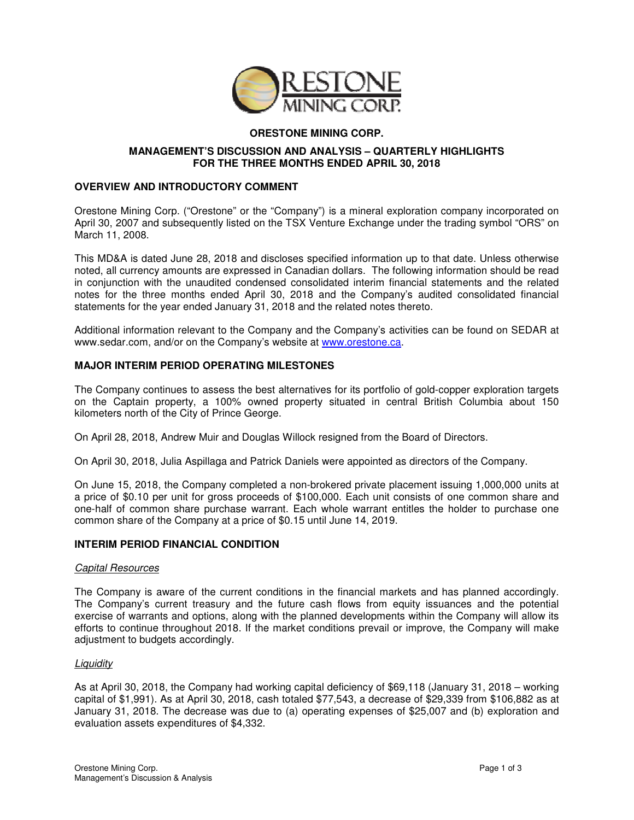

# **ORESTONE MINING CORP.**

## **MANAGEMENT'S DISCUSSION AND ANALYSIS – QUARTERLY HIGHLIGHTS FOR THE THREE MONTHS ENDED APRIL 30, 2018**

## **OVERVIEW AND INTRODUCTORY COMMENT**

Orestone Mining Corp. ("Orestone" or the "Company") is a mineral exploration company incorporated on April 30, 2007 and subsequently listed on the TSX Venture Exchange under the trading symbol "ORS" on March 11, 2008.

This MD&A is dated June 28, 2018 and discloses specified information up to that date. Unless otherwise noted, all currency amounts are expressed in Canadian dollars. The following information should be read in conjunction with the unaudited condensed consolidated interim financial statements and the related notes for the three months ended April 30, 2018 and the Company's audited consolidated financial statements for the year ended January 31, 2018 and the related notes thereto.

Additional information relevant to the Company and the Company's activities can be found on SEDAR at www.sedar.com, and/or on the Company's website at www.orestone.ca.

## **MAJOR INTERIM PERIOD OPERATING MILESTONES**

The Company continues to assess the best alternatives for its portfolio of gold-copper exploration targets on the Captain property, a 100% owned property situated in central British Columbia about 150 kilometers north of the City of Prince George.

On April 28, 2018, Andrew Muir and Douglas Willock resigned from the Board of Directors.

On April 30, 2018, Julia Aspillaga and Patrick Daniels were appointed as directors of the Company.

On June 15, 2018, the Company completed a non-brokered private placement issuing 1,000,000 units at a price of \$0.10 per unit for gross proceeds of \$100,000. Each unit consists of one common share and one-half of common share purchase warrant. Each whole warrant entitles the holder to purchase one common share of the Company at a price of \$0.15 until June 14, 2019.

### **INTERIM PERIOD FINANCIAL CONDITION**

### Capital Resources

The Company is aware of the current conditions in the financial markets and has planned accordingly. The Company's current treasury and the future cash flows from equity issuances and the potential exercise of warrants and options, along with the planned developments within the Company will allow its efforts to continue throughout 2018. If the market conditions prevail or improve, the Company will make adjustment to budgets accordingly.

### **Liquidity**

As at April 30, 2018, the Company had working capital deficiency of \$69,118 (January 31, 2018 – working capital of \$1,991). As at April 30, 2018, cash totaled \$77,543, a decrease of \$29,339 from \$106,882 as at January 31, 2018. The decrease was due to (a) operating expenses of \$25,007 and (b) exploration and evaluation assets expenditures of \$4,332.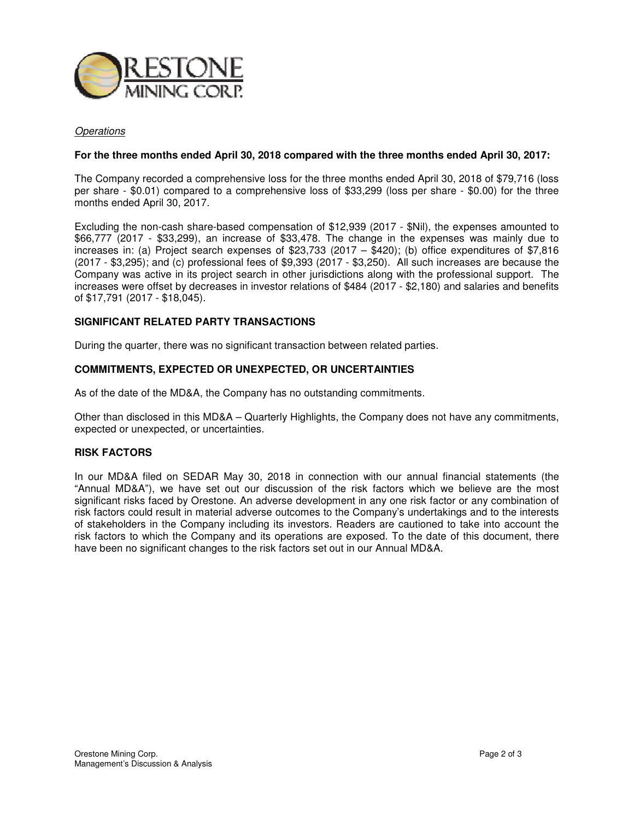

#### **Operations**

#### **For the three months ended April 30, 2018 compared with the three months ended April 30, 2017:**

The Company recorded a comprehensive loss for the three months ended April 30, 2018 of \$79,716 (loss per share - \$0.01) compared to a comprehensive loss of \$33,299 (loss per share - \$0.00) for the three months ended April 30, 2017.

Excluding the non-cash share-based compensation of \$12,939 (2017 - \$Nil), the expenses amounted to \$66,777 (2017 - \$33,299), an increase of \$33,478. The change in the expenses was mainly due to increases in: (a) Project search expenses of \$23,733 (2017 –  $$420$ ); (b) office expenditures of \$7,816 (2017 - \$3,295); and (c) professional fees of \$9,393 (2017 - \$3,250). All such increases are because the Company was active in its project search in other jurisdictions along with the professional support. The increases were offset by decreases in investor relations of \$484 (2017 - \$2,180) and salaries and benefits of \$17,791 (2017 - \$18,045).

## **SIGNIFICANT RELATED PARTY TRANSACTIONS**

During the quarter, there was no significant transaction between related parties.

### **COMMITMENTS, EXPECTED OR UNEXPECTED, OR UNCERTAINTIES**

As of the date of the MD&A, the Company has no outstanding commitments.

Other than disclosed in this MD&A – Quarterly Highlights, the Company does not have any commitments, expected or unexpected, or uncertainties.

#### **RISK FACTORS**

In our MD&A filed on SEDAR May 30, 2018 in connection with our annual financial statements (the "Annual MD&A"), we have set out our discussion of the risk factors which we believe are the most significant risks faced by Orestone. An adverse development in any one risk factor or any combination of risk factors could result in material adverse outcomes to the Company's undertakings and to the interests of stakeholders in the Company including its investors. Readers are cautioned to take into account the risk factors to which the Company and its operations are exposed. To the date of this document, there have been no significant changes to the risk factors set out in our Annual MD&A.